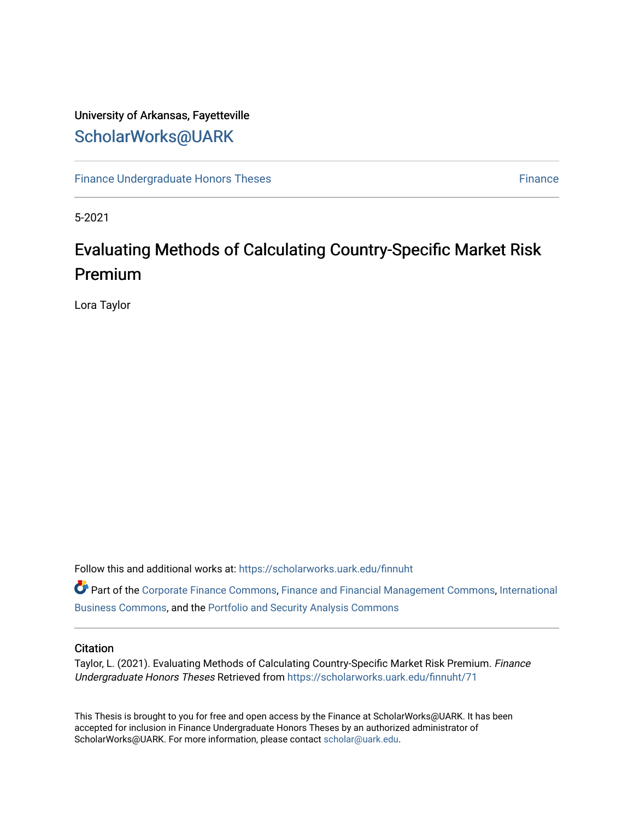# University of Arkansas, Fayetteville [ScholarWorks@UARK](https://scholarworks.uark.edu/)

[Finance Undergraduate Honors Theses](https://scholarworks.uark.edu/finnuht) [Finance](https://scholarworks.uark.edu/finn) **Finance Finance** 

5-2021

# Evaluating Methods of Calculating Country-Specific Market Risk Premium

Lora Taylor

Follow this and additional works at: [https://scholarworks.uark.edu/finnuht](https://scholarworks.uark.edu/finnuht?utm_source=scholarworks.uark.edu%2Ffinnuht%2F71&utm_medium=PDF&utm_campaign=PDFCoverPages)

Part of the [Corporate Finance Commons](http://network.bepress.com/hgg/discipline/629?utm_source=scholarworks.uark.edu%2Ffinnuht%2F71&utm_medium=PDF&utm_campaign=PDFCoverPages), [Finance and Financial Management Commons](http://network.bepress.com/hgg/discipline/631?utm_source=scholarworks.uark.edu%2Ffinnuht%2F71&utm_medium=PDF&utm_campaign=PDFCoverPages), [International](http://network.bepress.com/hgg/discipline/634?utm_source=scholarworks.uark.edu%2Ffinnuht%2F71&utm_medium=PDF&utm_campaign=PDFCoverPages)  [Business Commons](http://network.bepress.com/hgg/discipline/634?utm_source=scholarworks.uark.edu%2Ffinnuht%2F71&utm_medium=PDF&utm_campaign=PDFCoverPages), and the [Portfolio and Security Analysis Commons](http://network.bepress.com/hgg/discipline/640?utm_source=scholarworks.uark.edu%2Ffinnuht%2F71&utm_medium=PDF&utm_campaign=PDFCoverPages)

# **Citation**

Taylor, L. (2021). Evaluating Methods of Calculating Country-Specific Market Risk Premium. Finance Undergraduate Honors Theses Retrieved from [https://scholarworks.uark.edu/finnuht/71](https://scholarworks.uark.edu/finnuht/71?utm_source=scholarworks.uark.edu%2Ffinnuht%2F71&utm_medium=PDF&utm_campaign=PDFCoverPages)

This Thesis is brought to you for free and open access by the Finance at ScholarWorks@UARK. It has been accepted for inclusion in Finance Undergraduate Honors Theses by an authorized administrator of ScholarWorks@UARK. For more information, please contact [scholar@uark.edu](mailto:scholar@uark.edu).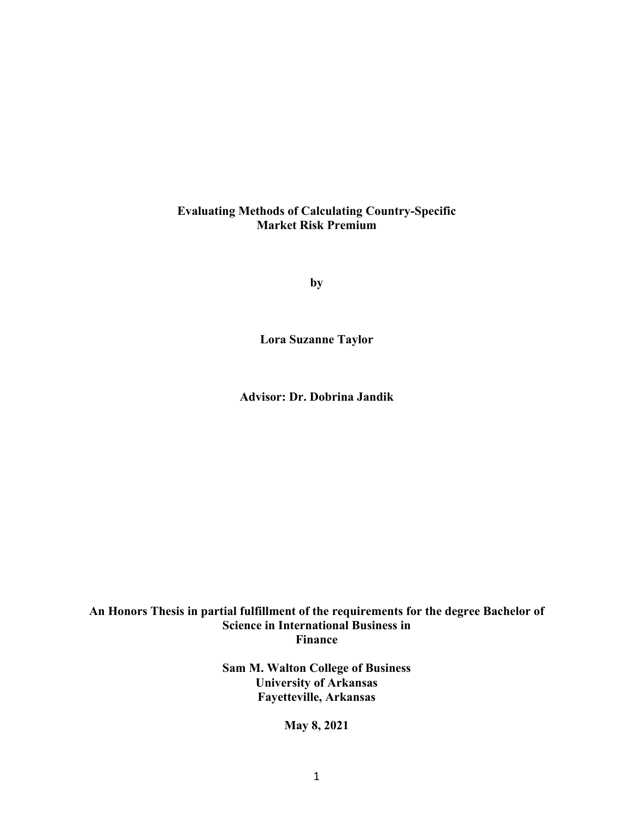# **Evaluating Methods of Calculating Country-Specific Market Risk Premium**

**by**

**Lora Suzanne Taylor**

**Advisor: Dr. Dobrina Jandik**

# **An Honors Thesis in partial fulfillment of the requirements for the degree Bachelor of Science in International Business in Finance**

**Sam M. Walton College of Business University of Arkansas Fayetteville, Arkansas**

**May 8, 2021**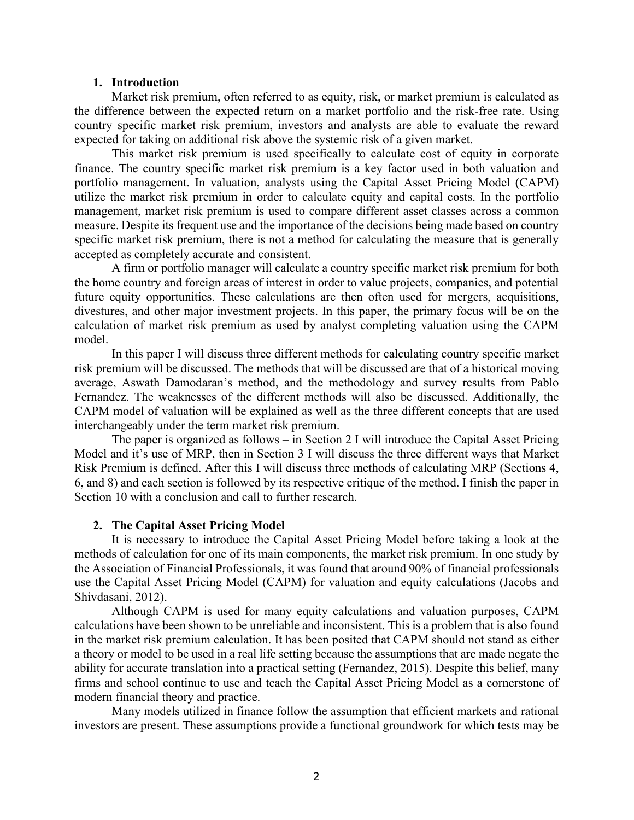# **1. Introduction**

Market risk premium, often referred to as equity, risk, or market premium is calculated as the difference between the expected return on a market portfolio and the risk-free rate. Using country specific market risk premium, investors and analysts are able to evaluate the reward expected for taking on additional risk above the systemic risk of a given market.

This market risk premium is used specifically to calculate cost of equity in corporate finance. The country specific market risk premium is a key factor used in both valuation and portfolio management. In valuation, analysts using the Capital Asset Pricing Model (CAPM) utilize the market risk premium in order to calculate equity and capital costs. In the portfolio management, market risk premium is used to compare different asset classes across a common measure. Despite its frequent use and the importance of the decisions being made based on country specific market risk premium, there is not a method for calculating the measure that is generally accepted as completely accurate and consistent.

A firm or portfolio manager will calculate a country specific market risk premium for both the home country and foreign areas of interest in order to value projects, companies, and potential future equity opportunities. These calculations are then often used for mergers, acquisitions, divestures, and other major investment projects. In this paper, the primary focus will be on the calculation of market risk premium as used by analyst completing valuation using the CAPM model.

In this paper I will discuss three different methods for calculating country specific market risk premium will be discussed. The methods that will be discussed are that of a historical moving average, Aswath Damodaran's method, and the methodology and survey results from Pablo Fernandez. The weaknesses of the different methods will also be discussed. Additionally, the CAPM model of valuation will be explained as well as the three different concepts that are used interchangeably under the term market risk premium.

The paper is organized as follows – in Section 2 I will introduce the Capital Asset Pricing Model and it's use of MRP, then in Section 3 I will discuss the three different ways that Market Risk Premium is defined. After this I will discuss three methods of calculating MRP (Sections 4, 6, and 8) and each section is followed by its respective critique of the method. I finish the paper in Section 10 with a conclusion and call to further research.

### **2. The Capital Asset Pricing Model**

It is necessary to introduce the Capital Asset Pricing Model before taking a look at the methods of calculation for one of its main components, the market risk premium. In one study by the Association of Financial Professionals, it was found that around 90% of financial professionals use the Capital Asset Pricing Model (CAPM) for valuation and equity calculations (Jacobs and Shivdasani, 2012).

Although CAPM is used for many equity calculations and valuation purposes, CAPM calculations have been shown to be unreliable and inconsistent. This is a problem that is also found in the market risk premium calculation. It has been posited that CAPM should not stand as either a theory or model to be used in a real life setting because the assumptions that are made negate the ability for accurate translation into a practical setting (Fernandez, 2015). Despite this belief, many firms and school continue to use and teach the Capital Asset Pricing Model as a cornerstone of modern financial theory and practice.

Many models utilized in finance follow the assumption that efficient markets and rational investors are present. These assumptions provide a functional groundwork for which tests may be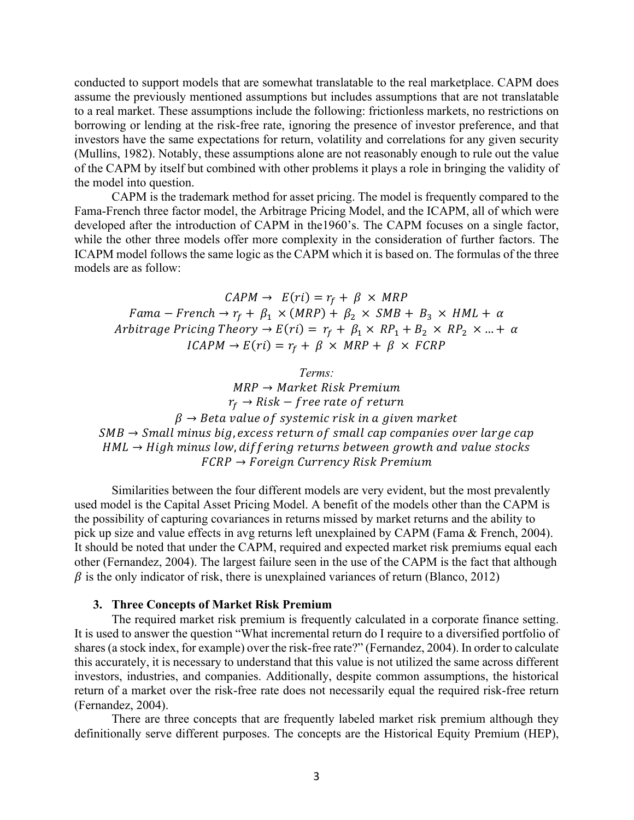conducted to support models that are somewhat translatable to the real marketplace. CAPM does assume the previously mentioned assumptions but includes assumptions that are not translatable to a real market. These assumptions include the following: frictionless markets, no restrictions on borrowing or lending at the risk-free rate, ignoring the presence of investor preference, and that investors have the same expectations for return, volatility and correlations for any given security (Mullins, 1982). Notably, these assumptions alone are not reasonably enough to rule out the value of the CAPM by itself but combined with other problems it plays a role in bringing the validity of the model into question.

CAPM is the trademark method for asset pricing. The model is frequently compared to the Fama-French three factor model, the Arbitrage Pricing Model, and the ICAPM, all of which were developed after the introduction of CAPM in the1960's. The CAPM focuses on a single factor, while the other three models offer more complexity in the consideration of further factors. The ICAPM model follows the same logic as the CAPM which it is based on. The formulas of the three models are as follow:

 $CAPM \rightarrow E(ri) = r_f + \beta \times MRP$  $Fama - French \rightarrow r_f + \beta_1 \times (MRP) + \beta_2 \times SMB + B_3 \times HML + \alpha$ Arbitrage Pricing Theory  $\rightarrow E(ri) = r_f + \beta_1 \times RP_1 + B_2 \times RP_2 \times ... + \alpha$  $ICAPM \rightarrow E(ri) = r_f + \beta \times MRP + \beta \times FCRP$ 

*Terms:*  $MRP \rightarrow Market Risk Premium$  $r_f \rightarrow Risk - free rate of return$  $\beta \rightarrow$  Beta value of systemic risk in a given market  $SMB \rightarrow Small$  minus big, excess return of small cap companies over large cap  $HML \rightarrow High \, minus \, low, differing \, returns \, between \, growth \, and \, value \, stocks$  $FCRP \rightarrow Foreign$  Currency Risk Premium

Similarities between the four different models are very evident, but the most prevalently used model is the Capital Asset Pricing Model. A benefit of the models other than the CAPM is the possibility of capturing covariances in returns missed by market returns and the ability to pick up size and value effects in avg returns left unexplained by CAPM (Fama & French, 2004). It should be noted that under the CAPM, required and expected market risk premiums equal each other (Fernandez, 2004). The largest failure seen in the use of the CAPM is the fact that although  $\beta$  is the only indicator of risk, there is unexplained variances of return (Blanco, 2012)

# **3. Three Concepts of Market Risk Premium**

The required market risk premium is frequently calculated in a corporate finance setting. It is used to answer the question "What incremental return do I require to a diversified portfolio of shares (a stock index, for example) over the risk-free rate?" (Fernandez, 2004). In order to calculate this accurately, it is necessary to understand that this value is not utilized the same across different investors, industries, and companies. Additionally, despite common assumptions, the historical return of a market over the risk-free rate does not necessarily equal the required risk-free return (Fernandez, 2004).

There are three concepts that are frequently labeled market risk premium although they definitionally serve different purposes. The concepts are the Historical Equity Premium (HEP),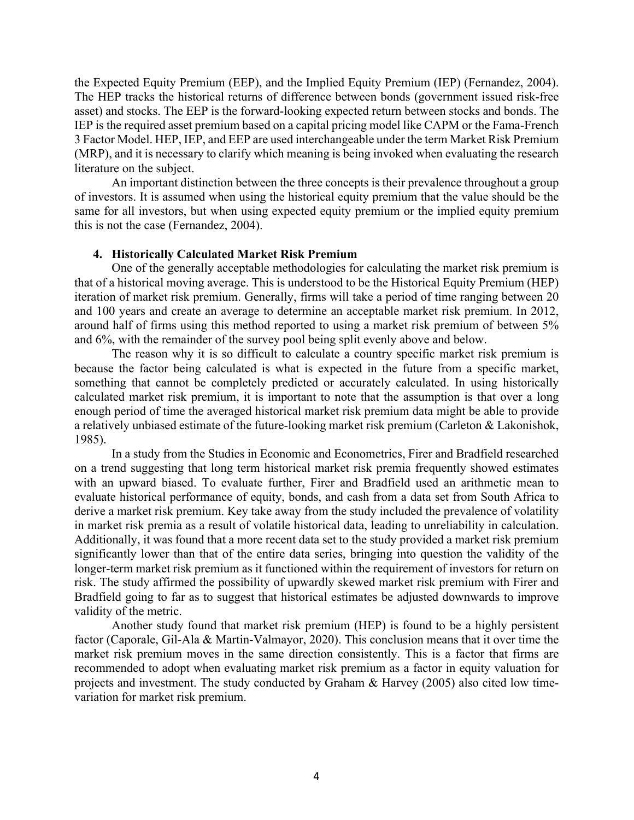the Expected Equity Premium (EEP), and the Implied Equity Premium (IEP) (Fernandez, 2004). The HEP tracks the historical returns of difference between bonds (government issued risk-free asset) and stocks. The EEP is the forward-looking expected return between stocks and bonds. The IEP is the required asset premium based on a capital pricing model like CAPM or the Fama-French 3 Factor Model. HEP, IEP, and EEP are used interchangeable under the term Market Risk Premium (MRP), and it is necessary to clarify which meaning is being invoked when evaluating the research literature on the subject.

An important distinction between the three concepts is their prevalence throughout a group of investors. It is assumed when using the historical equity premium that the value should be the same for all investors, but when using expected equity premium or the implied equity premium this is not the case (Fernandez, 2004).

# **4. Historically Calculated Market Risk Premium**

One of the generally acceptable methodologies for calculating the market risk premium is that of a historical moving average. This is understood to be the Historical Equity Premium (HEP) iteration of market risk premium. Generally, firms will take a period of time ranging between 20 and 100 years and create an average to determine an acceptable market risk premium. In 2012, around half of firms using this method reported to using a market risk premium of between 5% and 6%, with the remainder of the survey pool being split evenly above and below.

The reason why it is so difficult to calculate a country specific market risk premium is because the factor being calculated is what is expected in the future from a specific market, something that cannot be completely predicted or accurately calculated. In using historically calculated market risk premium, it is important to note that the assumption is that over a long enough period of time the averaged historical market risk premium data might be able to provide a relatively unbiased estimate of the future-looking market risk premium (Carleton & Lakonishok, 1985).

In a study from the Studies in Economic and Econometrics, Firer and Bradfield researched on a trend suggesting that long term historical market risk premia frequently showed estimates with an upward biased. To evaluate further, Firer and Bradfield used an arithmetic mean to evaluate historical performance of equity, bonds, and cash from a data set from South Africa to derive a market risk premium. Key take away from the study included the prevalence of volatility in market risk premia as a result of volatile historical data, leading to unreliability in calculation. Additionally, it was found that a more recent data set to the study provided a market risk premium significantly lower than that of the entire data series, bringing into question the validity of the longer-term market risk premium as it functioned within the requirement of investors for return on risk. The study affirmed the possibility of upwardly skewed market risk premium with Firer and Bradfield going to far as to suggest that historical estimates be adjusted downwards to improve validity of the metric.

Another study found that market risk premium (HEP) is found to be a highly persistent factor (Caporale, Gil-Ala & Martin-Valmayor, 2020). This conclusion means that it over time the market risk premium moves in the same direction consistently. This is a factor that firms are recommended to adopt when evaluating market risk premium as a factor in equity valuation for projects and investment. The study conducted by Graham & Harvey (2005) also cited low timevariation for market risk premium.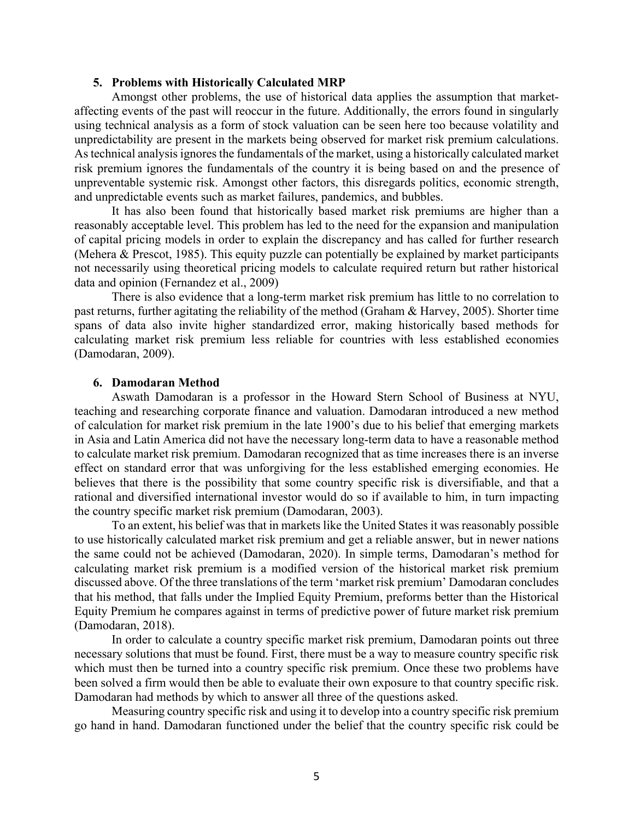### **5. Problems with Historically Calculated MRP**

Amongst other problems, the use of historical data applies the assumption that marketaffecting events of the past will reoccur in the future. Additionally, the errors found in singularly using technical analysis as a form of stock valuation can be seen here too because volatility and unpredictability are present in the markets being observed for market risk premium calculations. As technical analysis ignores the fundamentals of the market, using a historically calculated market risk premium ignores the fundamentals of the country it is being based on and the presence of unpreventable systemic risk. Amongst other factors, this disregards politics, economic strength, and unpredictable events such as market failures, pandemics, and bubbles.

It has also been found that historically based market risk premiums are higher than a reasonably acceptable level. This problem has led to the need for the expansion and manipulation of capital pricing models in order to explain the discrepancy and has called for further research (Mehera & Prescot, 1985). This equity puzzle can potentially be explained by market participants not necessarily using theoretical pricing models to calculate required return but rather historical data and opinion (Fernandez et al., 2009)

There is also evidence that a long-term market risk premium has little to no correlation to past returns, further agitating the reliability of the method (Graham & Harvey, 2005). Shorter time spans of data also invite higher standardized error, making historically based methods for calculating market risk premium less reliable for countries with less established economies (Damodaran, 2009).

# **6. Damodaran Method**

Aswath Damodaran is a professor in the Howard Stern School of Business at NYU, teaching and researching corporate finance and valuation. Damodaran introduced a new method of calculation for market risk premium in the late 1900's due to his belief that emerging markets in Asia and Latin America did not have the necessary long-term data to have a reasonable method to calculate market risk premium. Damodaran recognized that as time increases there is an inverse effect on standard error that was unforgiving for the less established emerging economies. He believes that there is the possibility that some country specific risk is diversifiable, and that a rational and diversified international investor would do so if available to him, in turn impacting the country specific market risk premium (Damodaran, 2003).

To an extent, his belief was that in markets like the United States it was reasonably possible to use historically calculated market risk premium and get a reliable answer, but in newer nations the same could not be achieved (Damodaran, 2020). In simple terms, Damodaran's method for calculating market risk premium is a modified version of the historical market risk premium discussed above. Of the three translations of the term 'market risk premium' Damodaran concludes that his method, that falls under the Implied Equity Premium, preforms better than the Historical Equity Premium he compares against in terms of predictive power of future market risk premium (Damodaran, 2018).

In order to calculate a country specific market risk premium, Damodaran points out three necessary solutions that must be found. First, there must be a way to measure country specific risk which must then be turned into a country specific risk premium. Once these two problems have been solved a firm would then be able to evaluate their own exposure to that country specific risk. Damodaran had methods by which to answer all three of the questions asked.

Measuring country specific risk and using it to develop into a country specific risk premium go hand in hand. Damodaran functioned under the belief that the country specific risk could be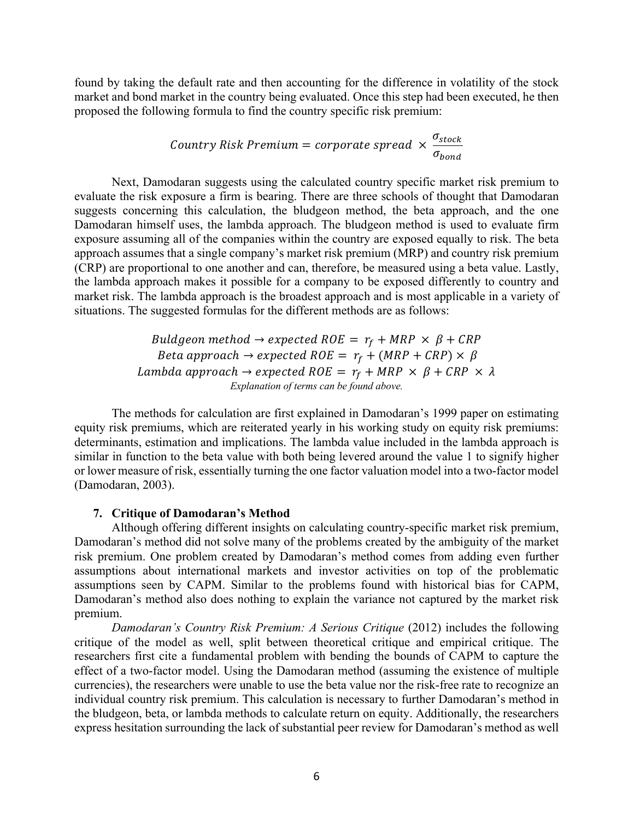found by taking the default rate and then accounting for the difference in volatility of the stock market and bond market in the country being evaluated. Once this step had been executed, he then proposed the following formula to find the country specific risk premium:

> $\emph{Country Risk Premium} = \emph{corporte spread} \times \frac{\sigma_{\emph{stock}}}{\sigma_{\emph{stock}}}$  $\sigma_{bond}$

Next, Damodaran suggests using the calculated country specific market risk premium to evaluate the risk exposure a firm is bearing. There are three schools of thought that Damodaran suggests concerning this calculation, the bludgeon method, the beta approach, and the one Damodaran himself uses, the lambda approach. The bludgeon method is used to evaluate firm exposure assuming all of the companies within the country are exposed equally to risk. The beta approach assumes that a single company's market risk premium (MRP) and country risk premium (CRP) are proportional to one another and can, therefore, be measured using a beta value. Lastly, the lambda approach makes it possible for a company to be exposed differently to country and market risk. The lambda approach is the broadest approach and is most applicable in a variety of situations. The suggested formulas for the different methods are as follows:

> Buldgeon method  $\rightarrow$  expected ROE =  $r_f + MRP \times \beta + CRP$ Beta approach  $\rightarrow$  expected ROE =  $r_f + (MRP + CRP) \times \beta$ Lambda approach  $\rightarrow$  expected ROE =  $r_f + MRP \times \beta + CRP \times \lambda$ *Explanation of terms can be found above.*

The methods for calculation are first explained in Damodaran's 1999 paper on estimating equity risk premiums, which are reiterated yearly in his working study on equity risk premiums: determinants, estimation and implications. The lambda value included in the lambda approach is similar in function to the beta value with both being levered around the value 1 to signify higher or lower measure of risk, essentially turning the one factor valuation model into a two-factor model (Damodaran, 2003).

# **7. Critique of Damodaran's Method**

Although offering different insights on calculating country-specific market risk premium, Damodaran's method did not solve many of the problems created by the ambiguity of the market risk premium. One problem created by Damodaran's method comes from adding even further assumptions about international markets and investor activities on top of the problematic assumptions seen by CAPM. Similar to the problems found with historical bias for CAPM, Damodaran's method also does nothing to explain the variance not captured by the market risk premium.

*Damodaran's Country Risk Premium: A Serious Critique* (2012) includes the following critique of the model as well, split between theoretical critique and empirical critique. The researchers first cite a fundamental problem with bending the bounds of CAPM to capture the effect of a two-factor model. Using the Damodaran method (assuming the existence of multiple currencies), the researchers were unable to use the beta value nor the risk-free rate to recognize an individual country risk premium. This calculation is necessary to further Damodaran's method in the bludgeon, beta, or lambda methods to calculate return on equity. Additionally, the researchers express hesitation surrounding the lack of substantial peer review for Damodaran's method as well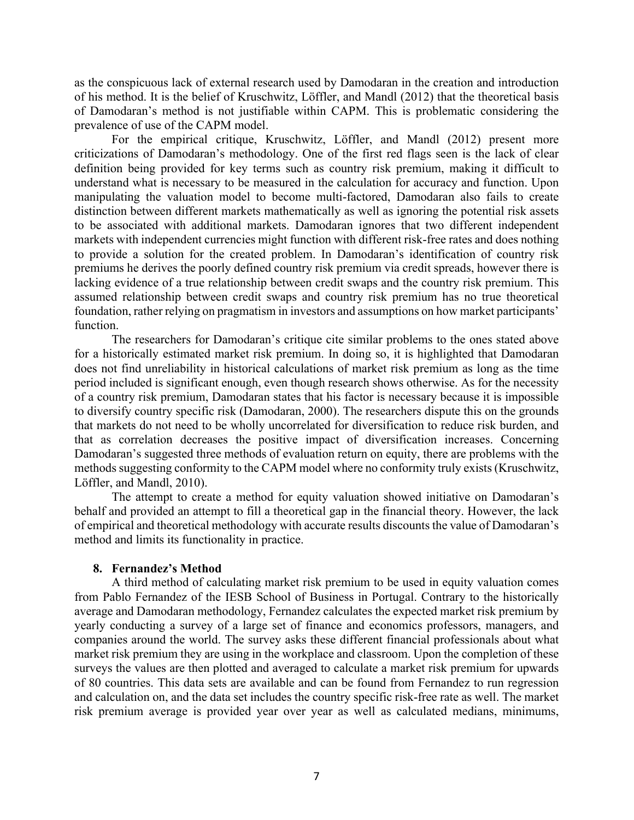as the conspicuous lack of external research used by Damodaran in the creation and introduction of his method. It is the belief of Kruschwitz, Löffler, and Mandl (2012) that the theoretical basis of Damodaran's method is not justifiable within CAPM. This is problematic considering the prevalence of use of the CAPM model.

For the empirical critique, Kruschwitz, Löffler, and Mandl (2012) present more criticizations of Damodaran's methodology. One of the first red flags seen is the lack of clear definition being provided for key terms such as country risk premium, making it difficult to understand what is necessary to be measured in the calculation for accuracy and function. Upon manipulating the valuation model to become multi-factored, Damodaran also fails to create distinction between different markets mathematically as well as ignoring the potential risk assets to be associated with additional markets. Damodaran ignores that two different independent markets with independent currencies might function with different risk-free rates and does nothing to provide a solution for the created problem. In Damodaran's identification of country risk premiums he derives the poorly defined country risk premium via credit spreads, however there is lacking evidence of a true relationship between credit swaps and the country risk premium. This assumed relationship between credit swaps and country risk premium has no true theoretical foundation, rather relying on pragmatism in investors and assumptions on how market participants' function.

The researchers for Damodaran's critique cite similar problems to the ones stated above for a historically estimated market risk premium. In doing so, it is highlighted that Damodaran does not find unreliability in historical calculations of market risk premium as long as the time period included is significant enough, even though research shows otherwise. As for the necessity of a country risk premium, Damodaran states that his factor is necessary because it is impossible to diversify country specific risk (Damodaran, 2000). The researchers dispute this on the grounds that markets do not need to be wholly uncorrelated for diversification to reduce risk burden, and that as correlation decreases the positive impact of diversification increases. Concerning Damodaran's suggested three methods of evaluation return on equity, there are problems with the methods suggesting conformity to the CAPM model where no conformity truly exists(Kruschwitz, Löffler, and Mandl, 2010).

The attempt to create a method for equity valuation showed initiative on Damodaran's behalf and provided an attempt to fill a theoretical gap in the financial theory. However, the lack of empirical and theoretical methodology with accurate results discounts the value of Damodaran's method and limits its functionality in practice.

### **8. Fernandez's Method**

A third method of calculating market risk premium to be used in equity valuation comes from Pablo Fernandez of the IESB School of Business in Portugal. Contrary to the historically average and Damodaran methodology, Fernandez calculates the expected market risk premium by yearly conducting a survey of a large set of finance and economics professors, managers, and companies around the world. The survey asks these different financial professionals about what market risk premium they are using in the workplace and classroom. Upon the completion of these surveys the values are then plotted and averaged to calculate a market risk premium for upwards of 80 countries. This data sets are available and can be found from Fernandez to run regression and calculation on, and the data set includes the country specific risk-free rate as well. The market risk premium average is provided year over year as well as calculated medians, minimums,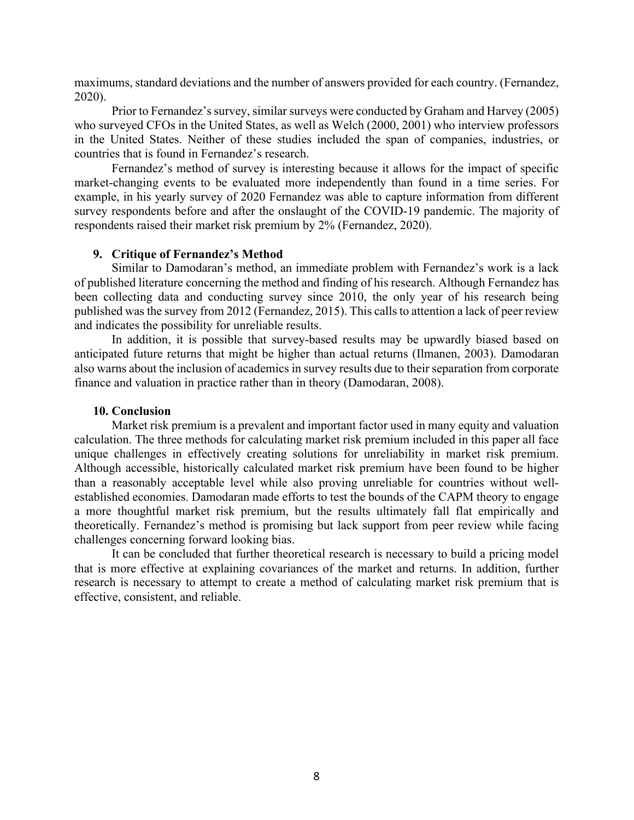maximums, standard deviations and the number of answers provided for each country. (Fernandez, 2020).

Prior to Fernandez's survey, similar surveys were conducted by Graham and Harvey (2005) who surveyed CFOs in the United States, as well as Welch (2000, 2001) who interview professors in the United States. Neither of these studies included the span of companies, industries, or countries that is found in Fernandez's research.

Fernandez's method of survey is interesting because it allows for the impact of specific market-changing events to be evaluated more independently than found in a time series. For example, in his yearly survey of 2020 Fernandez was able to capture information from different survey respondents before and after the onslaught of the COVID-19 pandemic. The majority of respondents raised their market risk premium by 2% (Fernandez, 2020).

### **9. Critique of Fernandez's Method**

Similar to Damodaran's method, an immediate problem with Fernandez's work is a lack of published literature concerning the method and finding of his research. Although Fernandez has been collecting data and conducting survey since 2010, the only year of his research being published was the survey from 2012 (Fernandez, 2015). This calls to attention a lack of peer review and indicates the possibility for unreliable results.

In addition, it is possible that survey-based results may be upwardly biased based on anticipated future returns that might be higher than actual returns (Ilmanen, 2003). Damodaran also warns about the inclusion of academics in survey results due to their separation from corporate finance and valuation in practice rather than in theory (Damodaran, 2008).

# **10. Conclusion**

Market risk premium is a prevalent and important factor used in many equity and valuation calculation. The three methods for calculating market risk premium included in this paper all face unique challenges in effectively creating solutions for unreliability in market risk premium. Although accessible, historically calculated market risk premium have been found to be higher than a reasonably acceptable level while also proving unreliable for countries without wellestablished economies. Damodaran made efforts to test the bounds of the CAPM theory to engage a more thoughtful market risk premium, but the results ultimately fall flat empirically and theoretically. Fernandez's method is promising but lack support from peer review while facing challenges concerning forward looking bias.

It can be concluded that further theoretical research is necessary to build a pricing model that is more effective at explaining covariances of the market and returns. In addition, further research is necessary to attempt to create a method of calculating market risk premium that is effective, consistent, and reliable.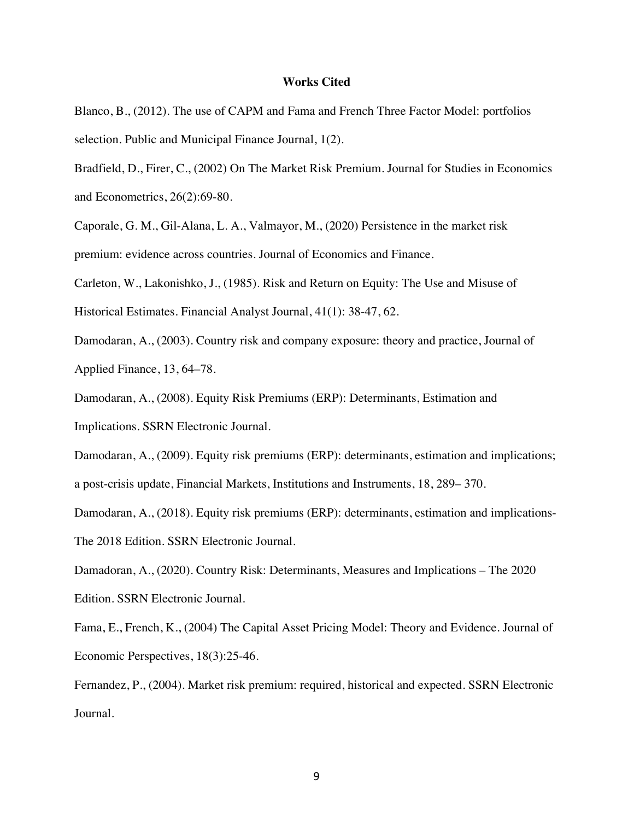# **Works Cited**

Blanco, B., (2012). The use of CAPM and Fama and French Three Factor Model: portfolios selection. Public and Municipal Finance Journal, 1(2).

Bradfield, D., Firer, C., (2002) On The Market Risk Premium. Journal for Studies in Economics and Econometrics, 26(2):69-80.

Caporale, G. M., Gil-Alana, L. A., Valmayor, M., (2020) Persistence in the market risk premium: evidence across countries. Journal of Economics and Finance.

Carleton, W., Lakonishko, J., (1985). Risk and Return on Equity: The Use and Misuse of

Historical Estimates. Financial Analyst Journal, 41(1): 38-47, 62.

Damodaran, A., (2003). Country risk and company exposure: theory and practice, Journal of

Applied Finance, 13, 64–78.

Damodaran, A., (2008). Equity Risk Premiums (ERP): Determinants, Estimation and Implications. SSRN Electronic Journal.

Damodaran, A., (2009). Equity risk premiums (ERP): determinants, estimation and implications;

a post-crisis update, Financial Markets, Institutions and Instruments, 18, 289– 370.

Damodaran, A., (2018). Equity risk premiums (ERP): determinants, estimation and implications-

The 2018 Edition. SSRN Electronic Journal.

Damadoran, A., (2020). Country Risk: Determinants, Measures and Implications – The 2020 Edition. SSRN Electronic Journal.

Fama, E., French, K., (2004) The Capital Asset Pricing Model: Theory and Evidence. Journal of Economic Perspectives, 18(3):25-46.

Fernandez, P., (2004). Market risk premium: required, historical and expected. SSRN Electronic Journal.